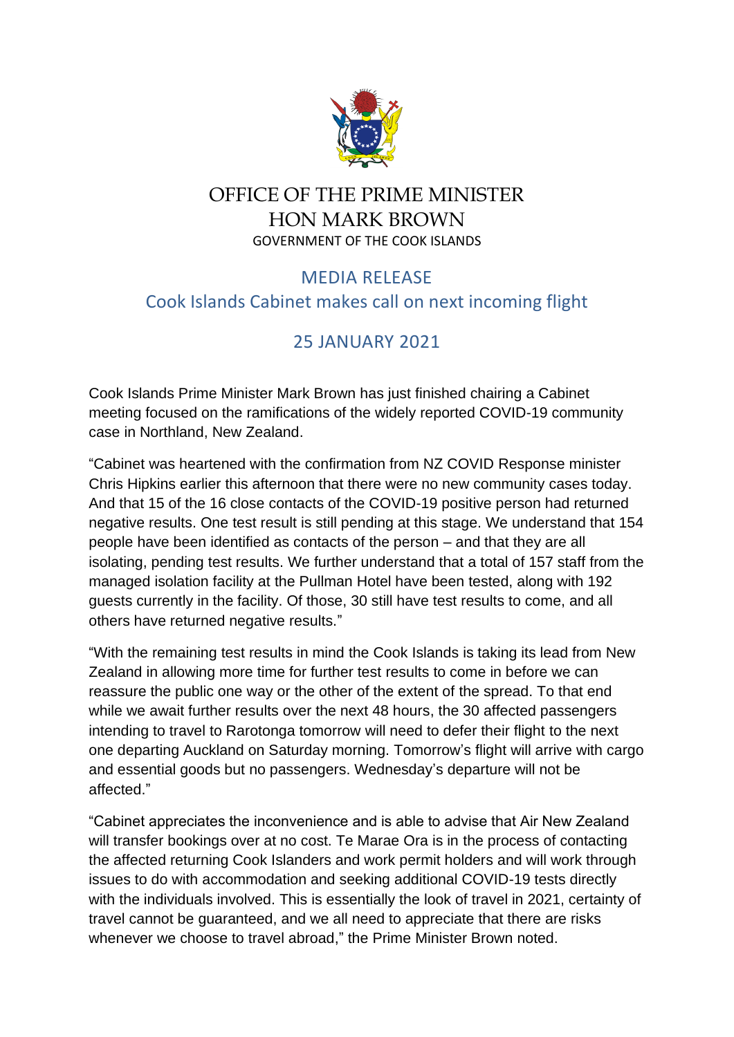

## OFFICE OF THE PRIME MINISTER HON MARK BROWN GOVERNMENT OF THE COOK ISLANDS

## MEDIA RELEASE Cook Islands Cabinet makes call on next incoming flight

## 25 JANUARY 2021

Cook Islands Prime Minister Mark Brown has just finished chairing a Cabinet meeting focused on the ramifications of the widely reported COVID-19 community case in Northland, New Zealand.

"Cabinet was heartened with the confirmation from NZ COVID Response minister Chris Hipkins earlier this afternoon that there were no new community cases today. And that 15 of the 16 close contacts of the COVID-19 positive person had returned negative results. One test result is still pending at this stage. We understand that 154 people have been identified as contacts of the person – and that they are all isolating, pending test results. We further understand that a total of 157 staff from the managed isolation facility at the Pullman Hotel have been tested, along with 192 guests currently in the facility. Of those, 30 still have test results to come, and all others have returned negative results."

"With the remaining test results in mind the Cook Islands is taking its lead from New Zealand in allowing more time for further test results to come in before we can reassure the public one way or the other of the extent of the spread. To that end while we await further results over the next 48 hours, the 30 affected passengers intending to travel to Rarotonga tomorrow will need to defer their flight to the next one departing Auckland on Saturday morning. Tomorrow's flight will arrive with cargo and essential goods but no passengers. Wednesday's departure will not be affected."

"Cabinet appreciates the inconvenience and is able to advise that Air New Zealand will transfer bookings over at no cost. Te Marae Ora is in the process of contacting the affected returning Cook Islanders and work permit holders and will work through issues to do with accommodation and seeking additional COVID-19 tests directly with the individuals involved. This is essentially the look of travel in 2021, certainty of travel cannot be guaranteed, and we all need to appreciate that there are risks whenever we choose to travel abroad," the Prime Minister Brown noted.